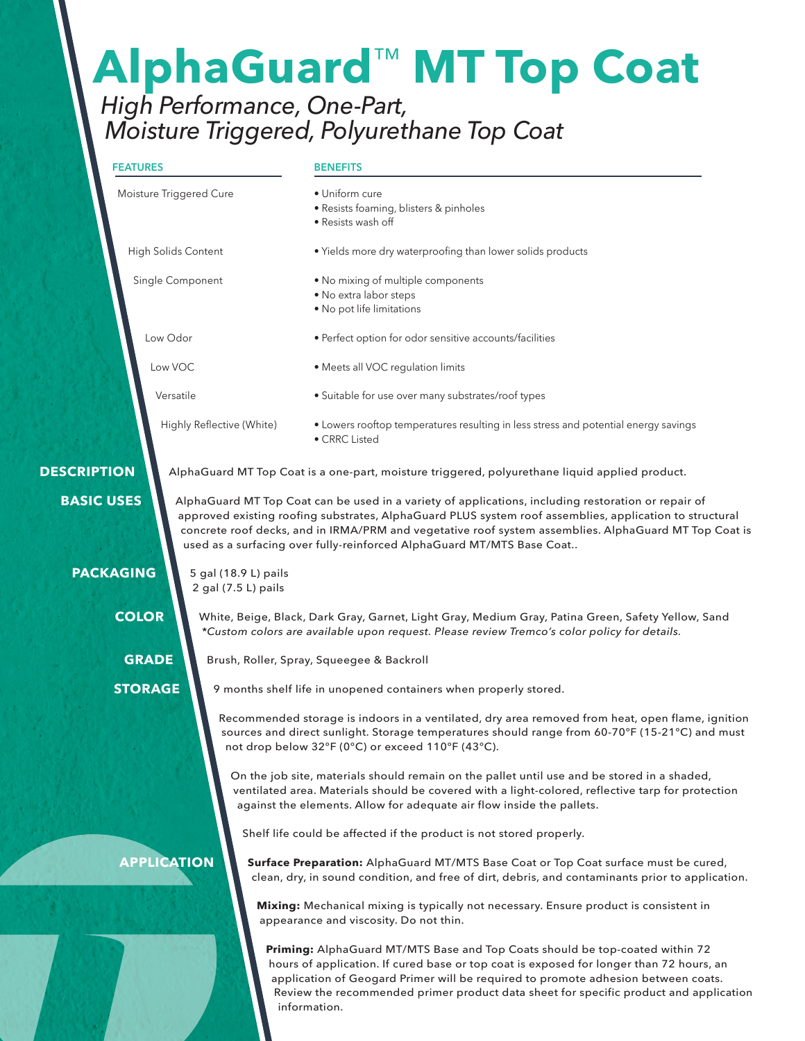# **AlphaGuard**™ **MT Top Coat**

# *High Performance, One-Part, Moisture Triggered, Polyurethane Top Coat*

# **FEATURES**

#### **BENEFITS**

| Moisture Triggered Cure    |                                             | • Uniform cure<br>· Resists foaming, blisters & pinholes                                                                                                                                                                                                                                  |  |  |  |  |
|----------------------------|---------------------------------------------|-------------------------------------------------------------------------------------------------------------------------------------------------------------------------------------------------------------------------------------------------------------------------------------------|--|--|--|--|
|                            |                                             | • Resists wash off                                                                                                                                                                                                                                                                        |  |  |  |  |
| <b>High Solids Content</b> |                                             | . Yields more dry waterproofing than lower solids products                                                                                                                                                                                                                                |  |  |  |  |
| Single Component           |                                             | . No mixing of multiple components<br>• No extra labor steps<br>. No pot life limitations                                                                                                                                                                                                 |  |  |  |  |
| Low Odor                   |                                             | · Perfect option for odor sensitive accounts/facilities<br>• Meets all VOC regulation limits                                                                                                                                                                                              |  |  |  |  |
| Low VOC                    |                                             |                                                                                                                                                                                                                                                                                           |  |  |  |  |
| Versatile                  |                                             | • Suitable for use over many substrates/roof types                                                                                                                                                                                                                                        |  |  |  |  |
|                            | Highly Reflective (White)                   | • Lowers rooftop temperatures resulting in less stress and potential energy savings<br>• CRRC Listed                                                                                                                                                                                      |  |  |  |  |
| <b>DESCRIPTION</b>         |                                             | AlphaGuard MT Top Coat is a one-part, moisture triggered, polyurethane liquid applied product.                                                                                                                                                                                            |  |  |  |  |
| <b>PACKAGING</b>           | 5 gal (18.9 L) pails<br>2 gal (7.5 L) pails | approved existing roofing substrates, AlphaGuard PLUS system roof assemblies, application to structural<br>concrete roof decks, and in IRMA/PRM and vegetative roof system assemblies. AlphaGuard MT Top Coat is<br>used as a surfacing over fully-reinforced AlphaGuard MT/MTS Base Coat |  |  |  |  |
| <b>COLOR</b>               |                                             | White, Beige, Black, Dark Gray, Garnet, Light Gray, Medium Gray, Patina Green, Safety Yellow, Sand<br>*Custom colors are available upon request. Please review Tremco's color policy for details.                                                                                         |  |  |  |  |
| <b>GRADE</b>               |                                             | Brush, Roller, Spray, Squeegee & Backroll                                                                                                                                                                                                                                                 |  |  |  |  |
| <b>STORAGE</b>             |                                             | 9 months shelf life in unopened containers when properly stored.                                                                                                                                                                                                                          |  |  |  |  |
|                            |                                             | Recommended storage is indoors in a ventilated, dry area removed from heat, open flame, ignition<br>sources and direct sunlight. Storage temperatures should range from 60-70°F (15-21°C) and must<br>not drop below 32°F (0°C) or exceed 110°F (43°C).                                   |  |  |  |  |
|                            |                                             | On the job site, materials should remain on the pallet until use and be stored in a shaded,<br>ventilated area. Materials should be covered with a light-colored, reflective tarp for protection<br>against the elements. Allow for adequate air flow inside the pallets.                 |  |  |  |  |
|                            |                                             | Shelf life could be affected if the product is not stored properly.                                                                                                                                                                                                                       |  |  |  |  |
| <b>APPLICATION</b>         |                                             | Surface Preparation: AlphaGuard MT/MTS Base Coat or Top Coat surface must be cured,<br>clean, dry, in sound condition, and free of dirt, debris, and contaminants prior to application.                                                                                                   |  |  |  |  |
|                            |                                             | Mixing: Mechanical mixing is typically not necessary. Ensure product is consistent in<br>appearance and viscosity. Do not thin.                                                                                                                                                           |  |  |  |  |
|                            |                                             | Priming: AlphaGuard MT/MTS Base and Top Coats should be top-coated within 72<br>hours of application. If cured base or top coat is exposed for longer than 72 hours, an<br>application of Geogard Primer will be required to promote adhesion between coats.                              |  |  |  |  |

information.

Review the recommended primer product data sheet for specific product and application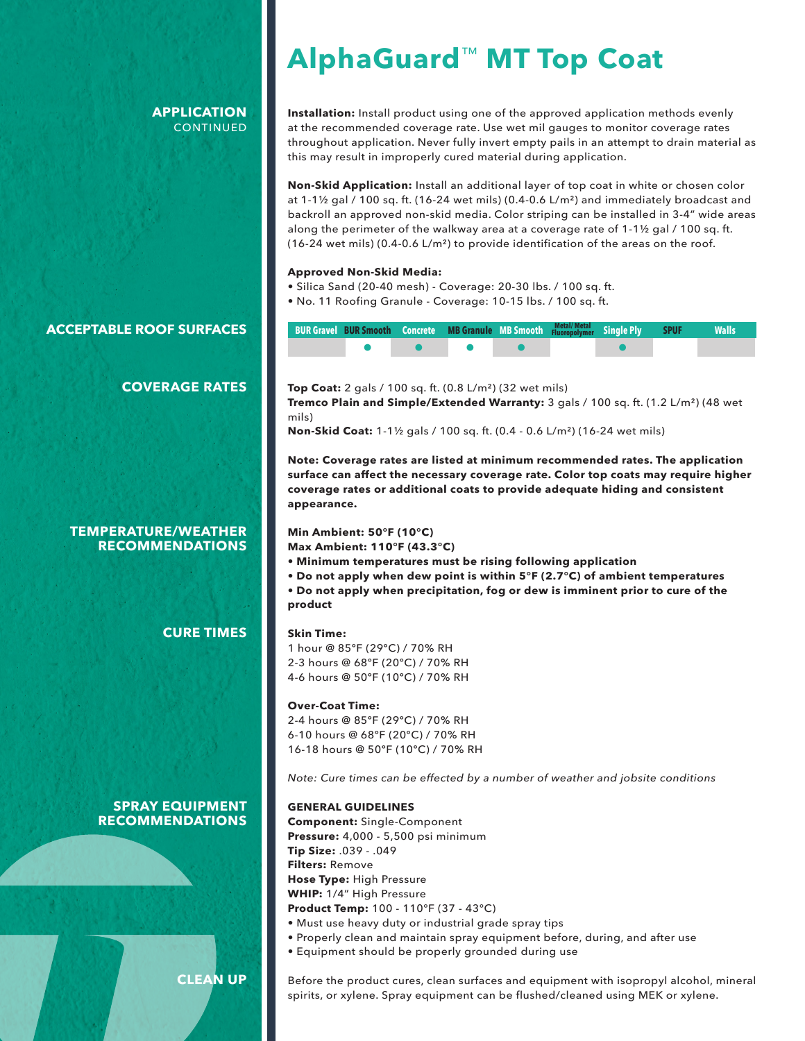## **APPLICATION CONTINUED**

# **AlphaGuard**™ **MT Top Coat**

**Installation:** Install product using one of the approved application methods evenly at the recommended coverage rate. Use wet mil gauges to monitor coverage rates throughout application. Never fully invert empty pails in an attempt to drain material as this may result in improperly cured material during application.

**Non-Skid Application:** Install an additional layer of top coat in white or chosen color at  $1-1\frac{1}{2}$  gal / 100 sq. ft. (16-24 wet mils) (0.4-0.6 L/m<sup>2</sup>) and immediately broadcast and backroll an approved non-skid media. Color striping can be installed in 3-4" wide areas along the perimeter of the walkway area at a coverage rate of 1-1½ gal / 100 sq. ft. (16-24 wet mils) (0.4-0.6 L/m<sup>2</sup>) to provide identification of the areas on the roof.

#### **Approved Non-Skid Media:**

- Silica Sand (20-40 mesh) Coverage: 20-30 lbs. / 100 sq. ft.
- No. 11 Roofing Granule Coverage: 10-15 lbs. / 100 sq. ft.

| BUR Gravel BUR Smooth Concrete MB Granule MB Smooth Metal/Metal Single Ply SPUF |  |  |  | <b>Walls</b> |
|---------------------------------------------------------------------------------|--|--|--|--------------|
|                                                                                 |  |  |  |              |

# **COVERAGE RATES**

## **TEMPERATURE/WEATHER RECOMMENDATIONS**

**ACCEPTABLE ROOF SURFACES**

**CURE TIMES**

**SPRAY EQUIPMENT RECOMMENDATIONS**

**CLEAN UP**

#### **Top Coat:** 2 gals / 100 sq. ft. (0.8 L/m²) (32 wet mils)

**Tremco Plain and Simple/Extended Warranty:** 3 gals / 100 sq. ft. (1.2 L/m²) (48 wet mils)

**Non-Skid Coat:** 1-1½ gals / 100 sq. ft. (0.4 - 0.6 L/m²) (16-24 wet mils)

**Note: Coverage rates are listed at minimum recommended rates. The application surface can affect the necessary coverage rate. Color top coats may require higher coverage rates or additional coats to provide adequate hiding and consistent appearance.**

#### **Min Ambient: 50°F (10°C)**

**Max Ambient: 110°F (43.3°C)**

- **Minimum temperatures must be rising following application**
- **Do not apply when dew point is within 5°F (2.7°C) of ambient temperatures**
- **Do not apply when precipitation, fog or dew is imminent prior to cure of the product**

#### **Skin Time:**

1 hour @ 85ºF (29ºC) / 70% RH 2-3 hours @ 68ºF (20ºC) / 70% RH 4-6 hours @ 50ºF (10ºC) / 70% RH

#### **Over-Coat Time:**

2-4 hours @ 85ºF (29ºC) / 70% RH 6-10 hours @ 68ºF (20ºC) / 70% RH 16-18 hours @ 50ºF (10ºC) / 70% RH

*Note: Cure times can be effected by a number of weather and jobsite conditions*

#### **GENERAL GUIDELINES**

**Component:** Single-Component **Pressure:** 4,000 - 5,500 psi minimum **Tip Size:** .039 - .049 **Filters:** Remove **Hose Type:** High Pressure **WHIP:** 1/4" High Pressure **Product Temp:** 100 - 110°F (37 - 43°C)

- Must use heavy duty or industrial grade spray tips
- Properly clean and maintain spray equipment before, during, and after use
- Equipment should be properly grounded during use

Before the product cures, clean surfaces and equipment with isopropyl alcohol, mineral spirits, or xylene. Spray equipment can be flushed/cleaned using MEK or xylene.